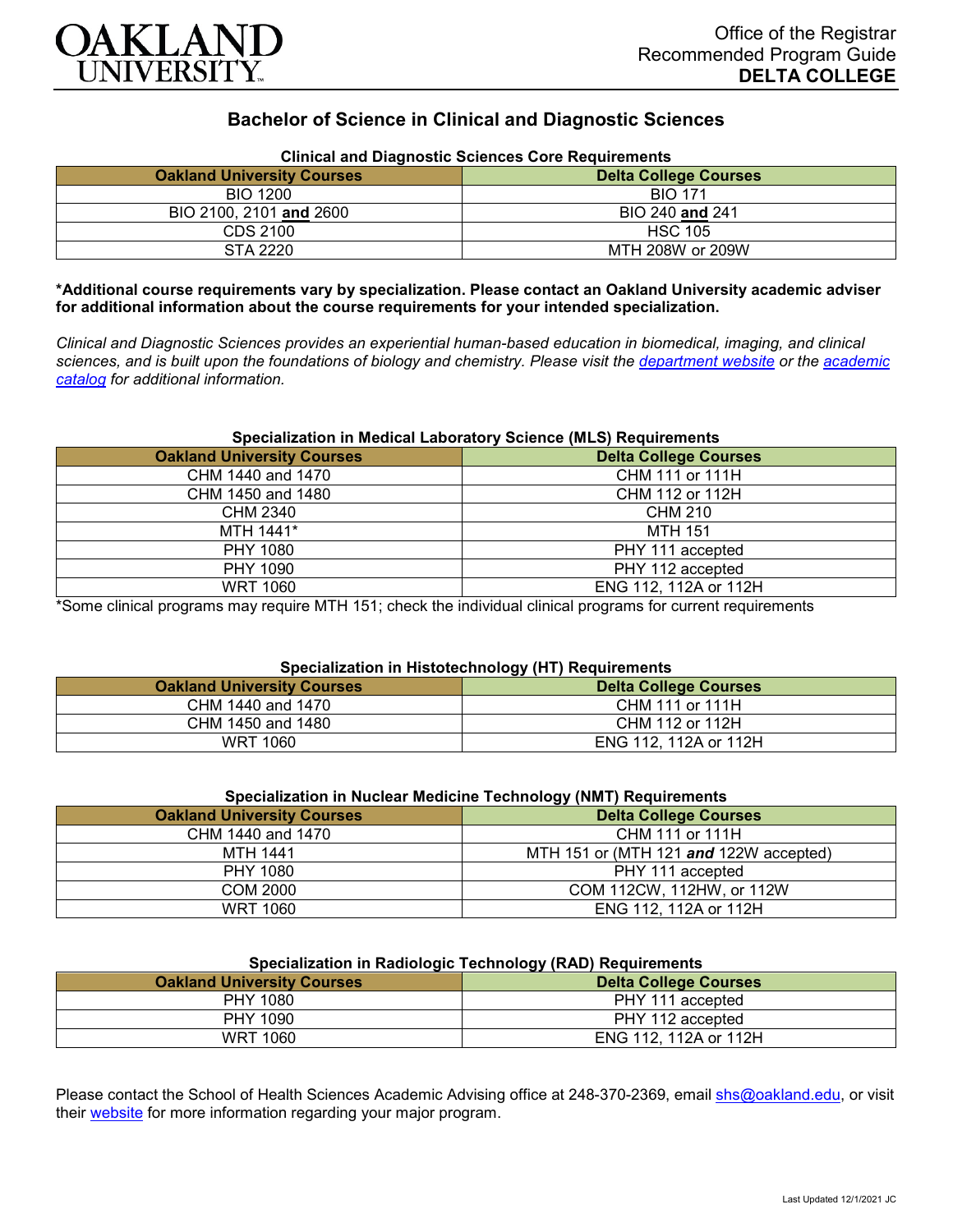

# **Bachelor of Science in Clinical and Diagnostic Sciences**

| Clinical and Diagnostic Sciences Core Requirements<br><b>Oakland University Courses</b><br><b>Delta College Courses</b> |                  |  |  |  |
|-------------------------------------------------------------------------------------------------------------------------|------------------|--|--|--|
| <b>BIO 1200</b>                                                                                                         | <b>BIO 171</b>   |  |  |  |
| BIO 2100, 2101 and 2600                                                                                                 | BIO 240 and 241  |  |  |  |
| CDS 2100                                                                                                                | <b>HSC 105</b>   |  |  |  |
| STA 2220                                                                                                                | MTH 208W or 209W |  |  |  |

# **Clinical and Diagnostic Sciences Core Requirements**

**\*Additional course requirements vary by specialization. Please contact an Oakland University academic adviser for additional information about the course requirements for your intended specialization.**

*Clinical and Diagnostic Sciences provides an experiential human-based education in biomedical, imaging, and clinical sciences, and is built upon the foundations of biology and chemistry. Please visit the [department website](https://www.oakland.edu/shs/clinical-and-diagnostic-sciences/) or the [academic](http://catalog.oakland.edu/preview_program.php?catoid=53&poid=8663)  [catalog](http://catalog.oakland.edu/preview_program.php?catoid=53&poid=8663) for additional information.*

### **Specialization in Medical Laboratory Science (MLS) Requirements**

| <b>Oakland University Courses</b> | <b>Delta College Courses</b> |
|-----------------------------------|------------------------------|
| CHM 1440 and 1470                 | CHM 111 or 111H              |
| CHM 1450 and 1480                 | CHM 112 or 112H              |
| CHM 2340                          | CHM 210                      |
| MTH 1441*                         | MTH 151                      |
| PHY 1080                          | PHY 111 accepted             |
| PHY 1090                          | PHY 112 accepted             |
| <b>WRT 1060</b>                   | ENG 112, 112A or 112H        |

\*Some clinical programs may require MTH 151; check the individual clinical programs for current requirements

### **Specialization in Histotechnology (HT) Requirements**

| <b>Oakland University Courses</b> | .<br><b>Delta College Courses</b> |
|-----------------------------------|-----------------------------------|
| CHM 1440 and 1470                 | CHM 111 or 111H                   |
| CHM 1450 and 1480                 | CHM 112 or 112H                   |
| WRT 1060                          | ENG 112, 112A or 112H             |

| Specialization in Nuclear Medicine Technology (NMT) Requirements |                                        |  |  |
|------------------------------------------------------------------|----------------------------------------|--|--|
| <b>Oakland University Courses</b>                                | <b>Delta College Courses</b>           |  |  |
| CHM 1440 and 1470                                                | CHM 111 or 111H                        |  |  |
| MTH 1441                                                         | MTH 151 or (MTH 121 and 122W accepted) |  |  |
| PHY 1080                                                         | PHY 111 accepted                       |  |  |
| COM 2000                                                         | COM 112CW, 112HW, or 112W              |  |  |
| WRT 1060                                                         | ENG 112, 112A or 112H                  |  |  |

## **Specialization in Radiologic Technology (RAD) Requirements**

| <b>Providing the intervention of the complete the conduction of the conduction of the conduction of the conduction</b> |                              |  |  |
|------------------------------------------------------------------------------------------------------------------------|------------------------------|--|--|
| <b>Oakland University Courses</b>                                                                                      | <b>Delta College Courses</b> |  |  |
| PHY 1080                                                                                                               | PHY 111 accepted             |  |  |
| PHY 1090                                                                                                               | PHY 112 accepted             |  |  |
| <b>WRT 1060</b>                                                                                                        | ENG 112, 112A or 112H        |  |  |

Please contact the School of Health Sciences Academic Advising office at 248-370-2369, email [shs@oakland.edu,](mailto:shs@oakland.edu) or visit their [website](http://www.oakland.edu/shs/advising) for more information regarding your major program.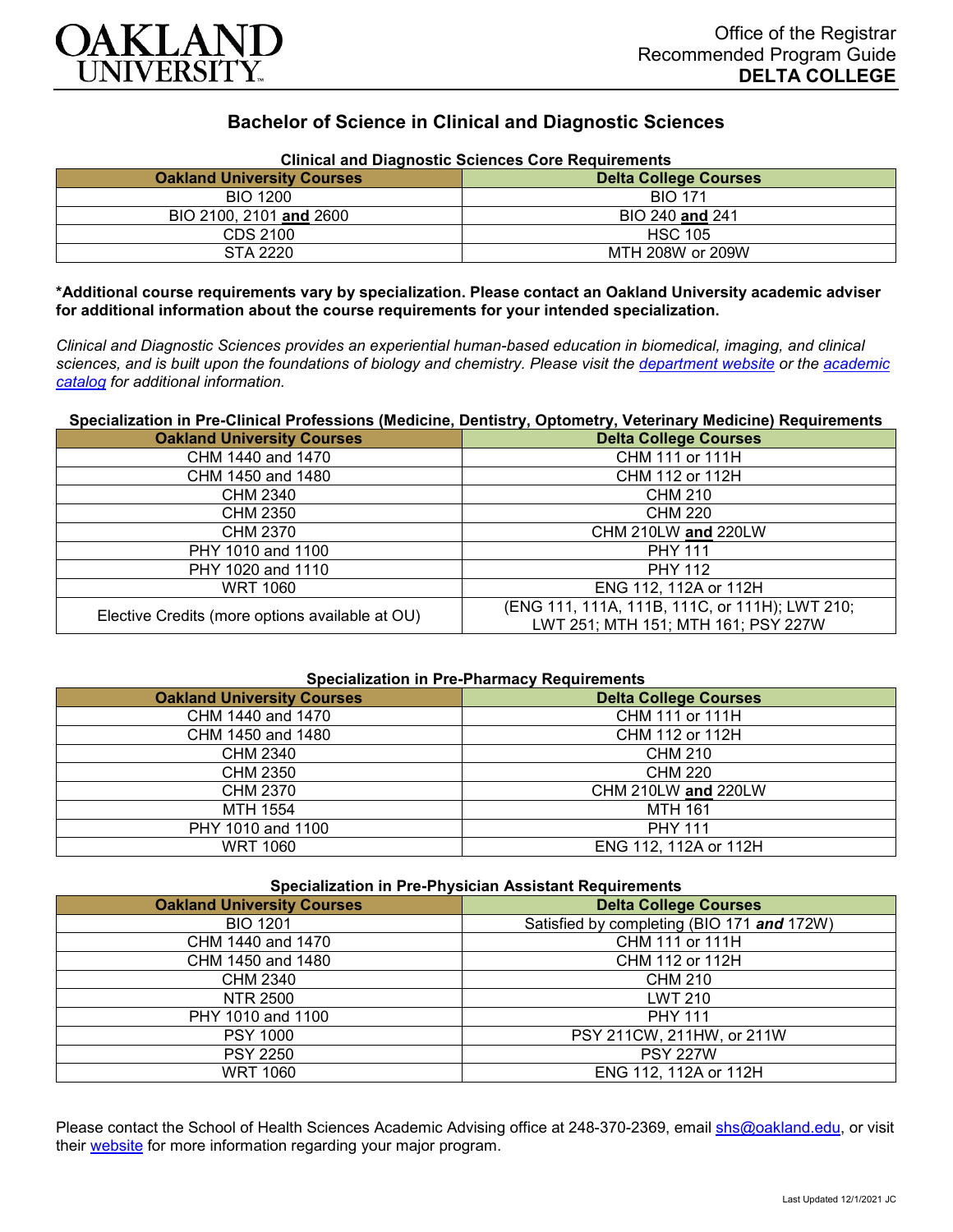

# **Bachelor of Science in Clinical and Diagnostic Sciences**

| <b>Clinical and Diagnostic Sciences Core Requirements</b>         |                  |  |  |
|-------------------------------------------------------------------|------------------|--|--|
| <b>Oakland University Courses</b><br><b>Delta College Courses</b> |                  |  |  |
| <b>BIO 1200</b>                                                   | <b>BIO 171</b>   |  |  |
| BIO 2100, 2101 and 2600                                           | BIO 240 and 241  |  |  |
| CDS 2100                                                          | <b>HSC 105</b>   |  |  |
| STA 2220                                                          | MTH 208W or 209W |  |  |

**\*Additional course requirements vary by specialization. Please contact an Oakland University academic adviser for additional information about the course requirements for your intended specialization.**

*Clinical and Diagnostic Sciences provides an experiential human-based education in biomedical, imaging, and clinical sciences, and is built upon the foundations of biology and chemistry. Please visit the [department website](https://www.oakland.edu/shs/clinical-and-diagnostic-sciences/) or the [academic](http://catalog.oakland.edu/preview_program.php?catoid=53&poid=8663)  [catalog](http://catalog.oakland.edu/preview_program.php?catoid=53&poid=8663) for additional information.*

#### **Specialization in Pre-Clinical Professions (Medicine, Dentistry, Optometry, Veterinary Medicine) Requirements**

| <b>Oakland University Courses</b>               | <b>Delta College Courses</b>                                                          |  |  |
|-------------------------------------------------|---------------------------------------------------------------------------------------|--|--|
| CHM 1440 and 1470                               | CHM 111 or 111H                                                                       |  |  |
| CHM 1450 and 1480                               | CHM 112 or 112H                                                                       |  |  |
| <b>CHM 2340</b>                                 | <b>CHM 210</b>                                                                        |  |  |
| CHM 2350                                        | <b>CHM 220</b>                                                                        |  |  |
| CHM 2370                                        | CHM 210LW and 220LW                                                                   |  |  |
| PHY 1010 and 1100                               | <b>PHY 111</b>                                                                        |  |  |
| PHY 1020 and 1110                               | <b>PHY 112</b>                                                                        |  |  |
| <b>WRT 1060</b>                                 | ENG 112, 112A or 112H                                                                 |  |  |
| Elective Credits (more options available at OU) | (ENG 111, 111A, 111B, 111C, or 111H); LWT 210;<br>LWT 251; MTH 151; MTH 161; PSY 227W |  |  |

# **Specialization in Pre-Pharmacy Requirements**

| <b>Oakland University Courses</b> | <b>Delta College Courses</b> |
|-----------------------------------|------------------------------|
| CHM 1440 and 1470                 | CHM 111 or 111H              |
| CHM 1450 and 1480                 | CHM 112 or 112H              |
| <b>CHM 2340</b>                   | CHM 210                      |
| CHM 2350                          | <b>CHM 220</b>               |
| CHM 2370                          | CHM 210LW and 220LW          |
| MTH 1554                          | <b>MTH 161</b>               |
| PHY 1010 and 1100                 | <b>PHY 111</b>               |
| <b>WRT 1060</b>                   | ENG 112, 112A or 112H        |

|  |  |  |  |  |  | <b>Specialization in Pre-Physician Assistant Requirements</b> |
|--|--|--|--|--|--|---------------------------------------------------------------|
|--|--|--|--|--|--|---------------------------------------------------------------|

| <b>Oakland University Courses</b> | <b>Delta College Courses</b>               |
|-----------------------------------|--------------------------------------------|
| <b>BIO 1201</b>                   | Satisfied by completing (BIO 171 and 172W) |
| CHM 1440 and 1470                 | CHM 111 or 111H                            |
| CHM 1450 and 1480                 | CHM 112 or 112H                            |
| <b>CHM 2340</b>                   | <b>CHM 210</b>                             |
| NTR 2500                          | <b>LWT 210</b>                             |
| PHY 1010 and 1100                 | <b>PHY 111</b>                             |
| <b>PSY 1000</b>                   | PSY 211CW, 211HW, or 211W                  |
| <b>PSY 2250</b>                   | <b>PSY 227W</b>                            |
| <b>WRT 1060</b>                   | ENG 112, 112A or 112H                      |

Please contact the School of Health Sciences Academic Advising office at 248-370-2369, email [shs@oakland.edu,](mailto:shs@oakland.edu) or visit their [website](http://www.oakland.edu/shs/advising) for more information regarding your major program.